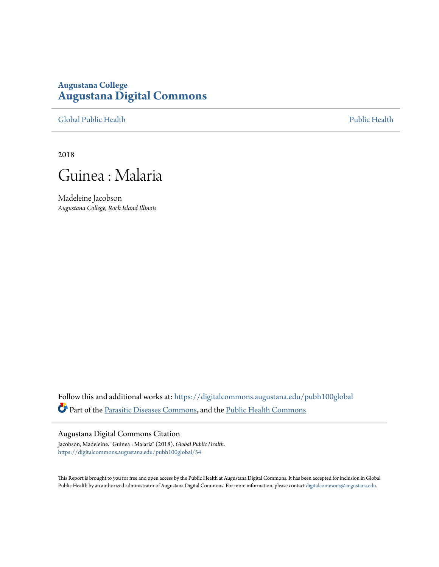## **Augustana College [Augustana Digital Commons](https://digitalcommons.augustana.edu?utm_source=digitalcommons.augustana.edu%2Fpubh100global%2F54&utm_medium=PDF&utm_campaign=PDFCoverPages)**

[Global Public Health](https://digitalcommons.augustana.edu/pubh100global?utm_source=digitalcommons.augustana.edu%2Fpubh100global%2F54&utm_medium=PDF&utm_campaign=PDFCoverPages) [Public Health](https://digitalcommons.augustana.edu/publichealth?utm_source=digitalcommons.augustana.edu%2Fpubh100global%2F54&utm_medium=PDF&utm_campaign=PDFCoverPages)

2018



Madeleine Jacobson *Augustana College, Rock Island Illinois*

Follow this and additional works at: [https://digitalcommons.augustana.edu/pubh100global](https://digitalcommons.augustana.edu/pubh100global?utm_source=digitalcommons.augustana.edu%2Fpubh100global%2F54&utm_medium=PDF&utm_campaign=PDFCoverPages) Part of the [Parasitic Diseases Commons,](http://network.bepress.com/hgg/discipline/983?utm_source=digitalcommons.augustana.edu%2Fpubh100global%2F54&utm_medium=PDF&utm_campaign=PDFCoverPages) and the [Public Health Commons](http://network.bepress.com/hgg/discipline/738?utm_source=digitalcommons.augustana.edu%2Fpubh100global%2F54&utm_medium=PDF&utm_campaign=PDFCoverPages)

#### Augustana Digital Commons Citation

Jacobson, Madeleine. "Guinea : Malaria" (2018). *Global Public Health.* [https://digitalcommons.augustana.edu/pubh100global/54](https://digitalcommons.augustana.edu/pubh100global/54?utm_source=digitalcommons.augustana.edu%2Fpubh100global%2F54&utm_medium=PDF&utm_campaign=PDFCoverPages)

This Report is brought to you for free and open access by the Public Health at Augustana Digital Commons. It has been accepted for inclusion in Global Public Health by an authorized administrator of Augustana Digital Commons. For more information, please contact [digitalcommons@augustana.edu.](mailto:digitalcommons@augustana.edu)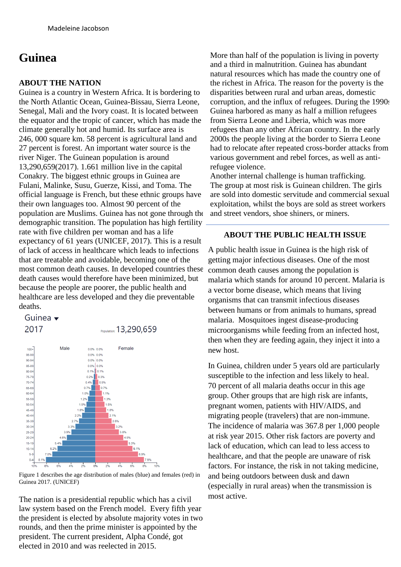# **Guinea**

### **ABOUT THE NATION**

Guinea is a country in Western Africa. It is bordering to the North Atlantic Ocean, Guinea-Bissau, Sierra Leone, Senegal, Mali and the Ivory coast. It is located between the equator and the tropic of cancer, which has made the climate generally hot and humid. Its surface area is 246, 000 square km. 58 percent is agricultural land and 27 percent is forest. An important water source is the river Niger. The Guinean population is around 13,290,659(2017). 1.661 million live in the capital Conakry. The biggest ethnic groups in Guinea are Fulani, Malinke, Susu, Guerze, Kissi, and Toma. The official language is French, but these ethnic groups have their own languages too. Almost 90 percent of the population are Muslims. Guinea has not gone through the demographic transition. The population has high fertility rate with five children per woman and has a life expectancy of 61 years (UNICEF, 2017). This is a result of lack of access in healthcare which leads to infections that are treatable and avoidable, becoming one of the most common death causes. In developed countries these death causes would therefore have been minimized, but because the people are poorer, the public health and healthcare are less developed and they die preventable deaths.

## Guinea  $\bullet$



Figure 1 describes the age distribution of males (blue) and females (red) in Guinea 2017. (UNICEF)

The nation is a presidential republic which has a civil law system based on the French model. Every fifth year the president is elected by absolute majority votes in two rounds, and then the prime minister is appointed by the president. The current president, Alpha Condé, got elected in 2010 and was reelected in 2015.

More than half of the population is living in poverty and a third in malnutrition. Guinea has abundant natural resources which has made the country one of the richest in Africa. The reason for the poverty is the disparities between rural and urban areas, domestic corruption, and the influx of refugees. During the 1990s Guinea harbored as many as half a million refugees from Sierra Leone and Liberia, which was more refugees than any other African country. In the early 2000s the people living at the border to Sierra Leone had to relocate after repeated cross-border attacks from various government and rebel forces, as well as antirefugee violence.

Another internal challenge is human trafficking. The group at most risk is Guinean children. The girls are sold into domestic servitude and commercial sexual exploitation, whilst the boys are sold as street workers and street vendors, shoe shiners, or miners.

#### **ABOUT THE PUBLIC HEALTH ISSUE**

A public health issue in Guinea is the high risk of getting major infectious diseases. One of the most common death causes among the population is malaria which stands for around 10 percent. Malaria is a vector borne disease, which means that living organisms that can transmit infectious diseases between humans or from animals to humans, spread malaria. Mosquitoes ingest disease-producing microorganisms while feeding from an infected host, then when they are feeding again, they inject it into a new host.

In Guinea, children under 5 years old are particularly susceptible to the infection and less likely to heal. 70 percent of all malaria deaths occur in this age group. Other groups that are high risk are infants, pregnant women, patients with HIV/AIDS, and migrating people (travelers) that are non-immune. The incidence of malaria was 367.8 per 1,000 people at risk year 2015. Other risk factors are poverty and lack of education, which can lead to less access to healthcare, and that the people are unaware of risk factors. For instance, the risk in not taking medicine, and being outdoors between dusk and dawn (especially in rural areas) when the transmission is most active.